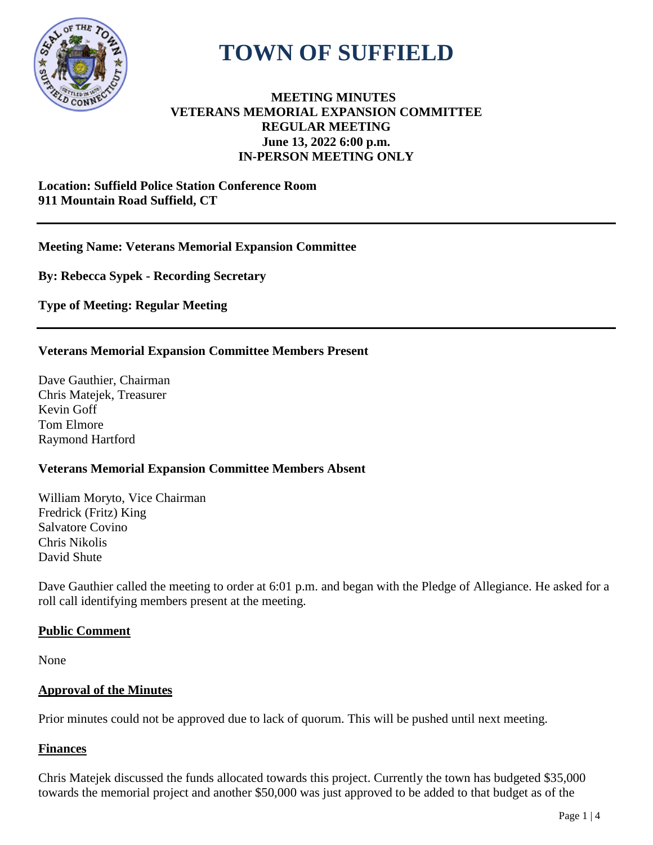

# **TOWN OF SUFFIELD**

## **MEETING MINUTES VETERANS MEMORIAL EXPANSION COMMITTEE REGULAR MEETING June 13, 2022 6:00 p.m. IN-PERSON MEETING ONLY**

#### **Location: Suffield Police Station Conference Room 911 Mountain Road Suffield, CT**

## **Meeting Name: Veterans Memorial Expansion Committee**

**By: Rebecca Sypek - Recording Secretary**

**Type of Meeting: Regular Meeting**

## **Veterans Memorial Expansion Committee Members Present**

Dave Gauthier, Chairman Chris Matejek, Treasurer Kevin Goff Tom Elmore Raymond Hartford

## **Veterans Memorial Expansion Committee Members Absent**

William Moryto, Vice Chairman Fredrick (Fritz) King Salvatore Covino Chris Nikolis David Shute

Dave Gauthier called the meeting to order at 6:01 p.m. and began with the Pledge of Allegiance. He asked for a roll call identifying members present at the meeting.

## **Public Comment**

None

## **Approval of the Minutes**

Prior minutes could not be approved due to lack of quorum. This will be pushed until next meeting.

## **Finances**

Chris Matejek discussed the funds allocated towards this project. Currently the town has budgeted \$35,000 towards the memorial project and another \$50,000 was just approved to be added to that budget as of the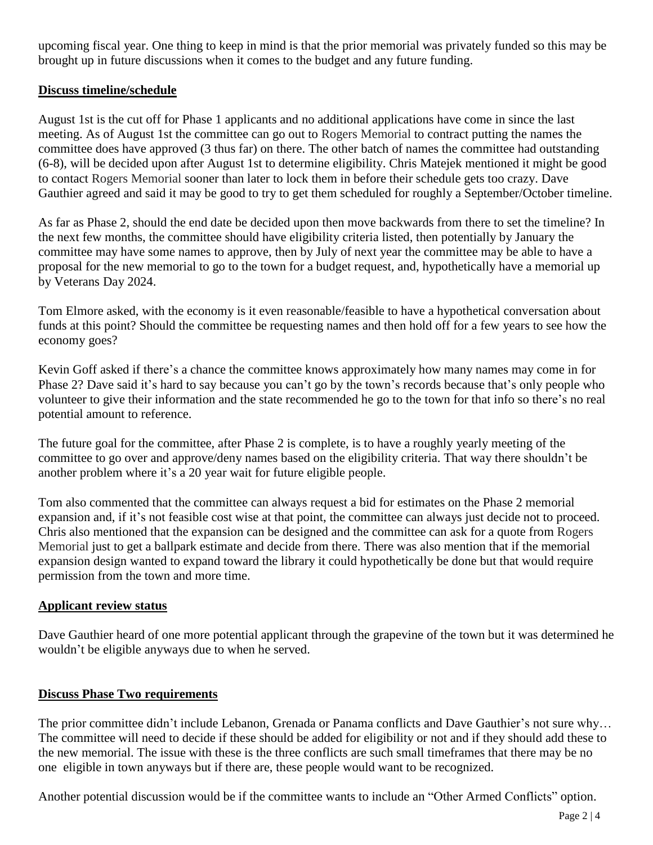upcoming fiscal year. One thing to keep in mind is that the prior memorial was privately funded so this may be brought up in future discussions when it comes to the budget and any future funding.

## **Discuss timeline/schedule**

August 1st is the cut off for Phase 1 applicants and no additional applications have come in since the last meeting. As of August 1st the committee can go out to Rogers Memorial to contract putting the names the committee does have approved (3 thus far) on there. The other batch of names the committee had outstanding (6-8), will be decided upon after August 1st to determine eligibility. Chris Matejek mentioned it might be good to contact Rogers Memorial sooner than later to lock them in before their schedule gets too crazy. Dave Gauthier agreed and said it may be good to try to get them scheduled for roughly a September/October timeline.

As far as Phase 2, should the end date be decided upon then move backwards from there to set the timeline? In the next few months, the committee should have eligibility criteria listed, then potentially by January the committee may have some names to approve, then by July of next year the committee may be able to have a proposal for the new memorial to go to the town for a budget request, and, hypothetically have a memorial up by Veterans Day 2024.

Tom Elmore asked, with the economy is it even reasonable/feasible to have a hypothetical conversation about funds at this point? Should the committee be requesting names and then hold off for a few years to see how the economy goes?

Kevin Goff asked if there's a chance the committee knows approximately how many names may come in for Phase 2? Dave said it's hard to say because you can't go by the town's records because that's only people who volunteer to give their information and the state recommended he go to the town for that info so there's no real potential amount to reference.

The future goal for the committee, after Phase 2 is complete, is to have a roughly yearly meeting of the committee to go over and approve/deny names based on the eligibility criteria. That way there shouldn't be another problem where it's a 20 year wait for future eligible people.

Tom also commented that the committee can always request a bid for estimates on the Phase 2 memorial expansion and, if it's not feasible cost wise at that point, the committee can always just decide not to proceed. Chris also mentioned that the expansion can be designed and the committee can ask for a quote from Rogers Memorial just to get a ballpark estimate and decide from there. There was also mention that if the memorial expansion design wanted to expand toward the library it could hypothetically be done but that would require permission from the town and more time.

#### **Applicant review status**

Dave Gauthier heard of one more potential applicant through the grapevine of the town but it was determined he wouldn't be eligible anyways due to when he served.

#### **Discuss Phase Two requirements**

The prior committee didn't include Lebanon, Grenada or Panama conflicts and Dave Gauthier's not sure why… The committee will need to decide if these should be added for eligibility or not and if they should add these to the new memorial. The issue with these is the three conflicts are such small timeframes that there may be no one eligible in town anyways but if there are, these people would want to be recognized.

Another potential discussion would be if the committee wants to include an "Other Armed Conflicts" option.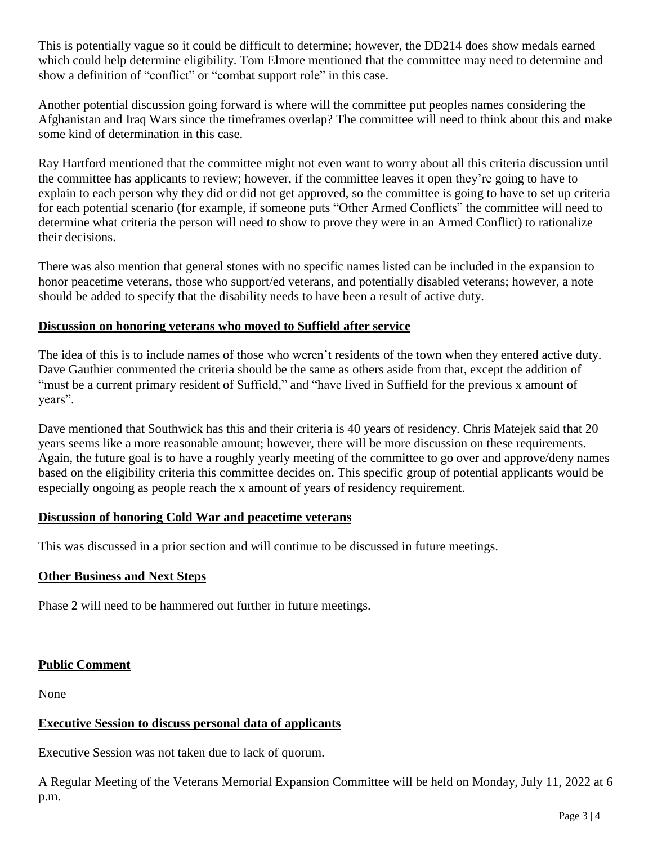This is potentially vague so it could be difficult to determine; however, the DD214 does show medals earned which could help determine eligibility. Tom Elmore mentioned that the committee may need to determine and show a definition of "conflict" or "combat support role" in this case.

Another potential discussion going forward is where will the committee put peoples names considering the Afghanistan and Iraq Wars since the timeframes overlap? The committee will need to think about this and make some kind of determination in this case.

Ray Hartford mentioned that the committee might not even want to worry about all this criteria discussion until the committee has applicants to review; however, if the committee leaves it open they're going to have to explain to each person why they did or did not get approved, so the committee is going to have to set up criteria for each potential scenario (for example, if someone puts "Other Armed Conflicts" the committee will need to determine what criteria the person will need to show to prove they were in an Armed Conflict) to rationalize their decisions.

There was also mention that general stones with no specific names listed can be included in the expansion to honor peacetime veterans, those who support/ed veterans, and potentially disabled veterans; however, a note should be added to specify that the disability needs to have been a result of active duty.

#### **Discussion on honoring veterans who moved to Suffield after service**

The idea of this is to include names of those who weren't residents of the town when they entered active duty. Dave Gauthier commented the criteria should be the same as others aside from that, except the addition of "must be a current primary resident of Suffield," and "have lived in Suffield for the previous x amount of years".

Dave mentioned that Southwick has this and their criteria is 40 years of residency. Chris Matejek said that 20 years seems like a more reasonable amount; however, there will be more discussion on these requirements. Again, the future goal is to have a roughly yearly meeting of the committee to go over and approve/deny names based on the eligibility criteria this committee decides on. This specific group of potential applicants would be especially ongoing as people reach the x amount of years of residency requirement.

#### **Discussion of honoring Cold War and peacetime veterans**

This was discussed in a prior section and will continue to be discussed in future meetings.

## **Other Business and Next Steps**

Phase 2 will need to be hammered out further in future meetings.

## **Public Comment**

None

## **Executive Session to discuss personal data of applicants**

Executive Session was not taken due to lack of quorum.

A Regular Meeting of the Veterans Memorial Expansion Committee will be held on Monday, July 11, 2022 at 6 p.m.